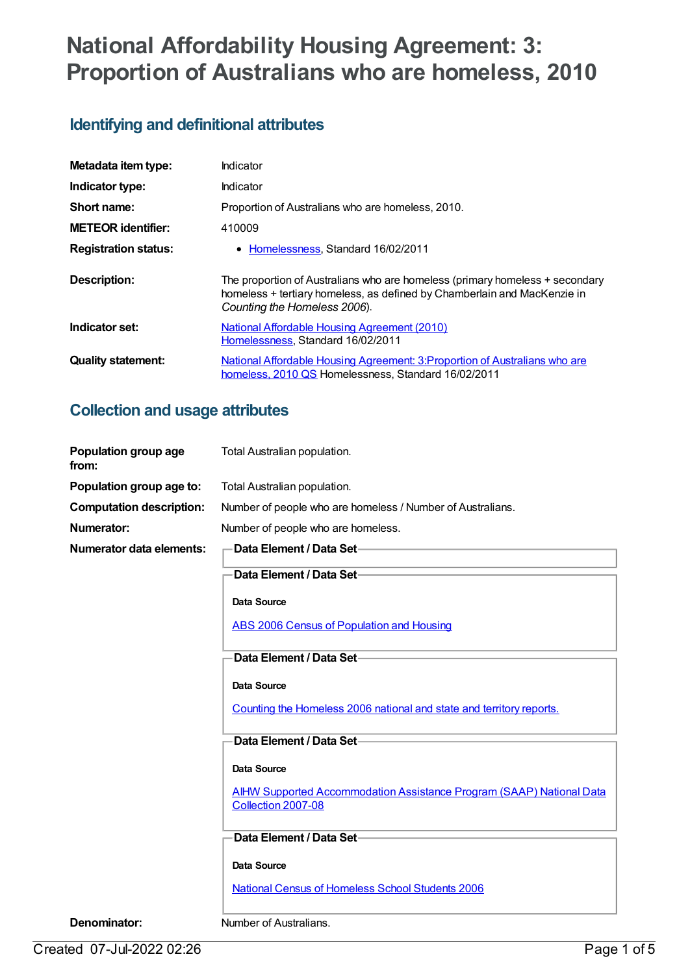# **National Affordability Housing Agreement: 3: Proportion of Australians who are homeless, 2010**

## **Identifying and definitional attributes**

| Metadata item type:         | Indicator                                                                                                |
|-----------------------------|----------------------------------------------------------------------------------------------------------|
| Indicator type:             | Indicator                                                                                                |
| Short name:                 | Proportion of Australians who are homeless, 2010.                                                        |
| <b>METEOR</b> identifier:   | 410009                                                                                                   |
| <b>Registration status:</b> | • Homelessness, Standard 16/02/2011                                                                      |
| Description:                | The proportion of Australians who are homeless (primary homeless + secondary                             |
|                             | homeless + tertiary homeless, as defined by Chamberlain and MacKenzie in<br>Counting the Homeless 2006). |
| Indicator set:              | <b>National Affordable Housing Agreement (2010)</b><br>Homelessness, Standard 16/02/2011                 |

## **Collection and usage attributes**

| Population group age<br>from:   | Total Australian population.                                                                      |
|---------------------------------|---------------------------------------------------------------------------------------------------|
| Population group age to:        | Total Australian population.                                                                      |
| <b>Computation description:</b> | Number of people who are homeless / Number of Australians.                                        |
| <b>Numerator:</b>               | Number of people who are homeless.                                                                |
| <b>Numerator data elements:</b> | Data Element / Data Set-                                                                          |
|                                 | Data Element / Data Set-                                                                          |
|                                 | <b>Data Source</b>                                                                                |
|                                 | <b>ABS 2006 Census of Population and Housing</b>                                                  |
|                                 | Data Element / Data Set-                                                                          |
|                                 | Data Source                                                                                       |
|                                 | Counting the Homeless 2006 national and state and territory reports.                              |
|                                 | Data Element / Data Set-                                                                          |
|                                 | <b>Data Source</b>                                                                                |
|                                 | <b>AIHW Supported Accommodation Assistance Program (SAAP) National Data</b><br>Collection 2007-08 |
|                                 | Data Element / Data Set-                                                                          |
|                                 | Data Source                                                                                       |
|                                 | <b>National Census of Homeless School Students 2006</b>                                           |
| Denominator:                    | Number of Australians.                                                                            |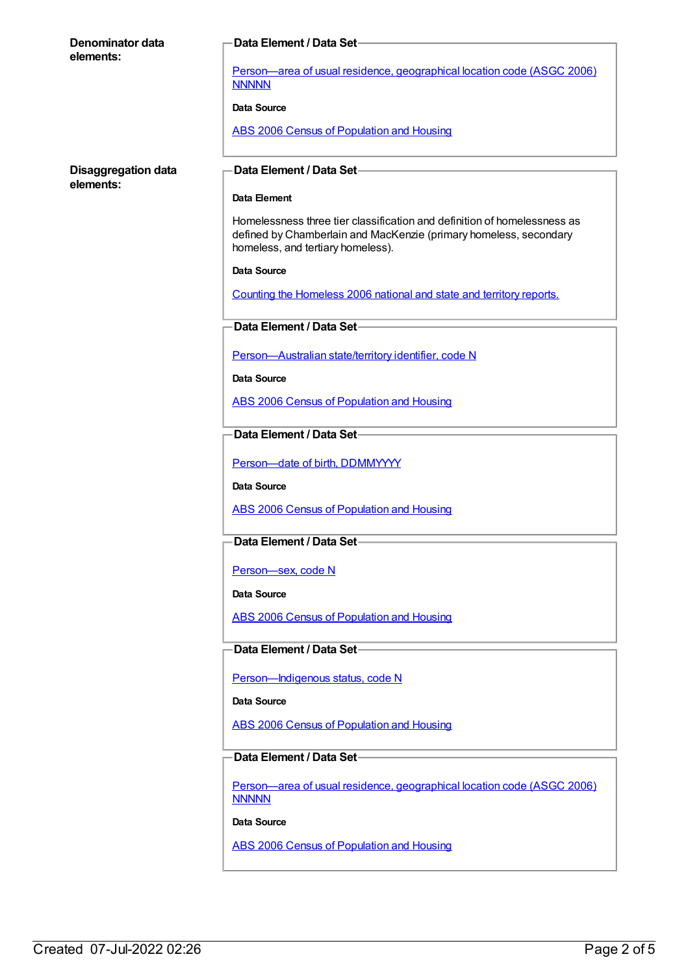| <b>Denominator data</b>                 | Data Element / Data Set-                                                                                                                                                           |
|-----------------------------------------|------------------------------------------------------------------------------------------------------------------------------------------------------------------------------------|
| elements:                               |                                                                                                                                                                                    |
|                                         | Person-area of usual residence, geographical location code (ASGC 2006)<br><b>NNNNN</b>                                                                                             |
|                                         | Data Source                                                                                                                                                                        |
|                                         | ABS 2006 Census of Population and Housing                                                                                                                                          |
| <b>Disaggregation data</b><br>elements: | Data Element / Data Set-                                                                                                                                                           |
|                                         | Data Element                                                                                                                                                                       |
|                                         | Homelessness three tier classification and definition of homelessness as<br>defined by Chamberlain and MacKenzie (primary homeless, secondary<br>homeless, and tertiary homeless). |
|                                         | <b>Data Source</b>                                                                                                                                                                 |
|                                         | Counting the Homeless 2006 national and state and territory reports.                                                                                                               |
|                                         | Data Element / Data Set-                                                                                                                                                           |
|                                         | Person-Australian state/territory identifier, code N                                                                                                                               |
|                                         | Data Source                                                                                                                                                                        |
|                                         | <b>ABS 2006 Census of Population and Housing</b>                                                                                                                                   |
|                                         | Data Element / Data Set-                                                                                                                                                           |
|                                         | Person-date of birth, DDMMYYYY                                                                                                                                                     |
|                                         | Data Source                                                                                                                                                                        |
|                                         | ABS 2006 Census of Population and Housing                                                                                                                                          |
|                                         | Data Element / Data Set-                                                                                                                                                           |
|                                         | Person-sex, code N                                                                                                                                                                 |
|                                         | Data Source                                                                                                                                                                        |
|                                         | ABS 2006 Census of Population and Housing                                                                                                                                          |
|                                         | Data Element / Data Set-                                                                                                                                                           |
|                                         | Person-Indigenous status, code N                                                                                                                                                   |
|                                         | <b>Data Source</b>                                                                                                                                                                 |
|                                         | <b>ABS 2006 Census of Population and Housing</b>                                                                                                                                   |
|                                         | Data Element / Data Set-                                                                                                                                                           |
|                                         | Person-area of usual residence, geographical location code (ASGC 2006)<br><b>NNNNN</b>                                                                                             |
|                                         | Data Source                                                                                                                                                                        |
|                                         | ABS 2006 Census of Population and Housing                                                                                                                                          |
|                                         |                                                                                                                                                                                    |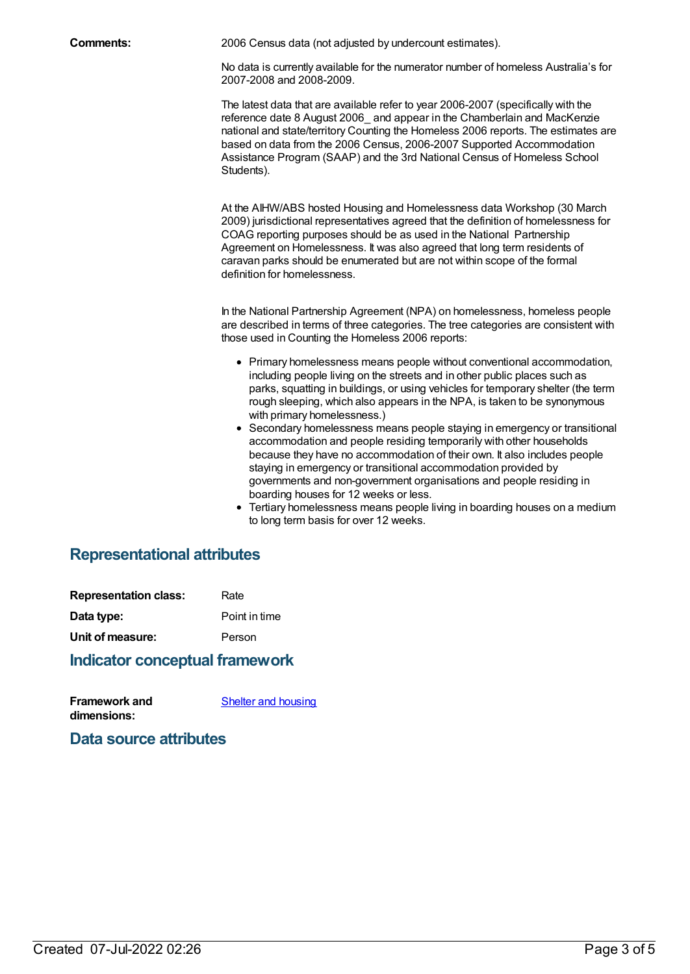**Comments:** 2006 Census data (not adjusted by undercount estimates).

No data is currently available for the numerator number of homeless Australia's for 2007-2008 and 2008-2009.

The latest data that are available refer to year 2006-2007 (specifically with the reference date 8 August 2006\_ and appear in the Chamberlain and MacKenzie national and state/territory Counting the Homeless 2006 reports. The estimates are based on data from the 2006 Census, 2006-2007 Supported Accommodation Assistance Program (SAAP) and the 3rd National Census of Homeless School Students).

At the AIHW/ABS hosted Housing and Homelessness data Workshop (30 March 2009) jurisdictional representatives agreed that the definition of homelessness for COAG reporting purposes should be as used in the National Partnership Agreement on Homelessness. It was also agreed that long term residents of caravan parks should be enumerated but are not within scope of the formal definition for homelessness.

In the National Partnership Agreement (NPA) on homelessness, homeless people are described in terms of three categories. The tree categories are consistent with those used in Counting the Homeless 2006 reports:

- Primary homelessness means people without conventional accommodation, including people living on the streets and in other public places such as parks, squatting in buildings, or using vehicles for temporary shelter (the term rough sleeping, which also appears in the NPA, is taken to be synonymous with primary homelessness.)
- Secondary homelessness means people staying in emergency or transitional accommodation and people residing temporarily with other households because they have no accommodation of their own. It also includes people staying in emergency or transitional accommodation provided by governments and non-government organisations and people residing in boarding houses for 12 weeks or less.
- Tertiary homelessness means people living in boarding houses on a medium to long term basis for over 12 weeks.

## **Representational attributes**

| <b>Representation class:</b> | Rate          |
|------------------------------|---------------|
| Data type:                   | Point in time |
| Unit of measure:             | Person        |

#### **Indicator conceptual framework**

| <b>Framework and</b> | Shelter and housing |
|----------------------|---------------------|
| dimensions:          |                     |

**Data source attributes**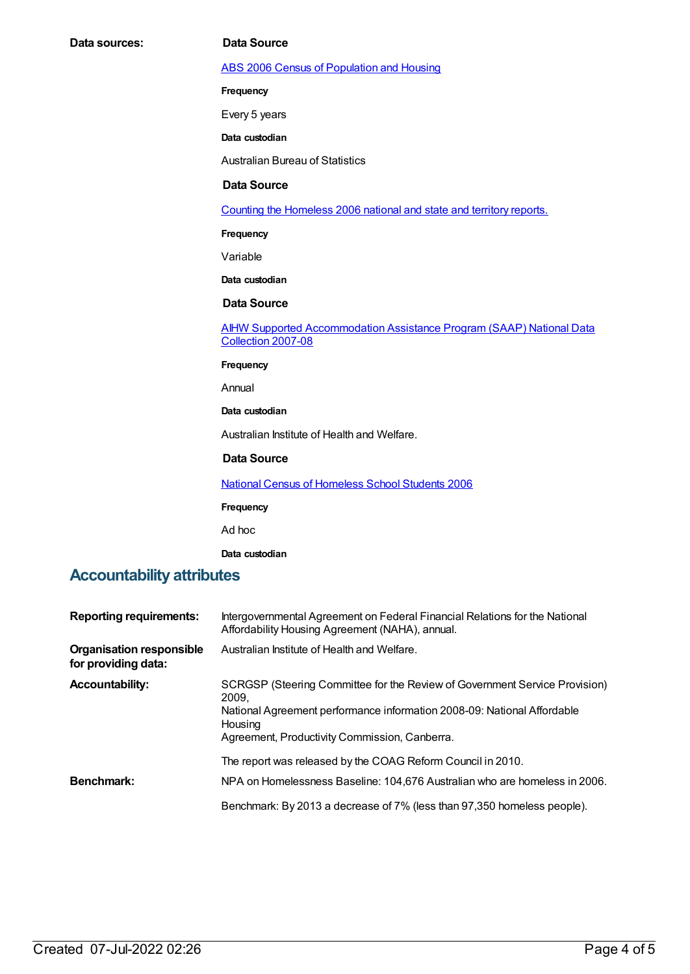ABS 2006 Census of [Population](https://meteor.aihw.gov.au/content/394447) and Housing

**Frequency**

Every 5 years

**Data custodian**

Australian Bureau of Statistics

#### **Data Source**

Counting the [Homeless](https://meteor.aihw.gov.au/content/410012) 2006 national and state and territory reports.

**Frequency**

Variable

**Data custodian**

#### **Data Source**

AIHW Supported [Accommodation](https://meteor.aihw.gov.au/content/410013) Assistance Program (SAAP) National Data Collection 2007-08

**Frequency**

Annual

**Data custodian**

Australian Institute of Health and Welfare.

#### **Data Source**

National Census of [Homeless](https://meteor.aihw.gov.au/content/426618) School Students 2006

**Frequency**

Ad hoc

**Data custodian**

### **Accountability attributes**

| <b>Reporting requirements:</b>                         | Intergovernmental Agreement on Federal Financial Relations for the National<br>Affordability Housing Agreement (NAHA), annual.                                                                                             |
|--------------------------------------------------------|----------------------------------------------------------------------------------------------------------------------------------------------------------------------------------------------------------------------------|
| <b>Organisation responsible</b><br>for providing data: | Australian Institute of Health and Welfare.                                                                                                                                                                                |
| <b>Accountability:</b>                                 | SCRGSP (Steering Committee for the Review of Government Service Provision)<br>2009.<br>National Agreement performance information 2008-09: National Affordable<br>Housing<br>Agreement, Productivity Commission, Canberra. |
| Benchmark:                                             | The report was released by the COAG Reform Council in 2010.<br>NPA on Homelessness Baseline: 104,676 Australian who are homeless in 2006.                                                                                  |
|                                                        | Benchmark: By 2013 a decrease of 7% (less than 97,350 homeless people).                                                                                                                                                    |